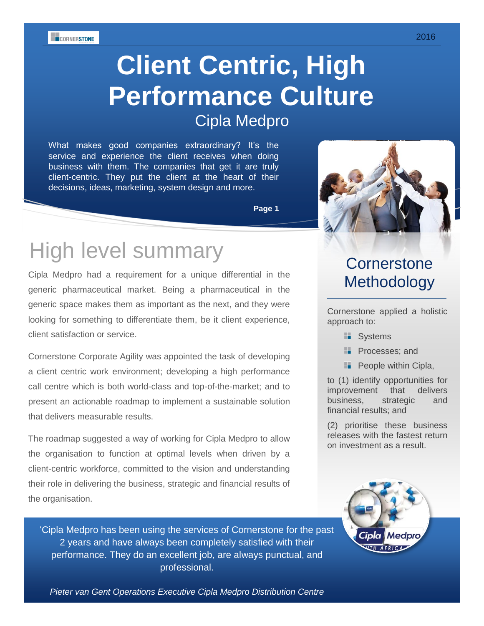**ECORNERSTONE** 

# **Client Centric, High Performance Culture** Cipla Medpro

What makes good companies extraordinary? It's the service and experience the client receives when doing business with them. The companies that get it are truly client-centric. They put the client at the heart of their decisions, ideas, marketing, system design and more.

**Page 1**

## High level summary

Cipla Medpro had a requirement for a unique differential in the generic pharmaceutical market. Being a pharmaceutical in the generic space makes them as important as the next, and they were looking for something to differentiate them, be it client experience, client satisfaction or service.

Cornerstone Corporate Agility was appointed the task of developing a client centric work environment; developing a high performance call centre which is both world-class and top-of-the-market; and to present an actionable roadmap to implement a sustainable solution that delivers measurable results.

The roadmap suggested a way of working for Cipla Medpro to allow the organisation to function at optimal levels when driven by a client-centric workforce, committed to the vision and understanding their role in delivering the business, strategic and financial results of the organisation.

'Cipla Medpro has been using the services of Cornerstone for the past 2 years and have always been completely satisfied with their performance. They do an excellent job, are always punctual, and professional.

1 *Pieter van Gent Operations Executive Cipla Medpro Distribution Centre*



### **Cornerstone Methodology**

Cornerstone applied a holistic approach to:

- **Systems**
- **Processes**: and
- **People within Cipla,**

to (1) identify opportunities for improvement that delivers business, strategic and financial results; and

(2) prioritise these business releases with the fastest return on investment as a result.

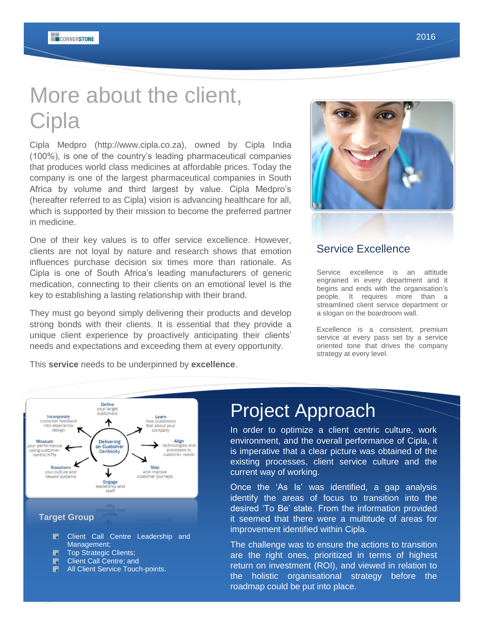# More about the client, **Cipla**

Cipla Medpro (http://www.cipla.co.za), owned by Cipla India (100%), is one of the country's leading pharmaceutical companies that produces world class medicines at affordable prices. Today the company is one of the largest pharmaceutical companies in South Africa by volume and third largest by value. Cipla Medpro's (hereafter referred to as Cipla) vision is advancing healthcare for all, which is supported by their mission to become the preferred partner in medicine.

One of their key values is to offer service excellence. However, clients are not loyal by nature and research shows that emotion influences purchase decision six times more than rationale. As Cipla is one of South Africa's leading manufacturers of generic medication, connecting to their clients on an emotional level is the key to establishing a lasting relationship with their brand.

They must go beyond simply delivering their products and develop strong bonds with their clients. It is essential that they provide a unique client experience by proactively anticipating their clients' needs and expectations and exceeding them at every opportunity.

This **service** needs to be underpinned by **excellence**.



### Service Excellence

Service excellence is an attitude engrained in every department and it begins and ends with the organisation's people. It requires more than a streamlined client service department or a slogan on the boardroom wall.

Excellence is a consistent, premium service at every pass set by a service oriented tone that drives the company strategy at every level.

#### your target Incorporate Learn Incorporate<br>
into experience<br>
design w customers<br>el about you custome ተ **Measure Delivering** Align measure<br>r performance<br>ind customer. on Customer technologies and<br>processes to sing customer-<br>centric KPIs Centricity customer needs Map **Transform** and improve your culture and ↓ reward systems customer journeys Engage leadership and<br>staff **Target Group** ₽. Client Call Centre Leadership and

Define

- Management;
- 刪 Top Strategic Clients;
- B Client Call Centre; and
- **H** All Client Service Touch-points.

### Project Approach

In order to optimize a client centric culture, work environment, and the overall performance of Cipla, it is imperative that a clear picture was obtained of the existing processes, client service culture and the current way of working.

Once the 'As Is' was identified, a gap analysis identify the areas of focus to transition into the desired 'To Be' state. From the information provided it seemed that there were a multitude of areas for improvement identified within Cipla.

2 roadmap could be put into place. The challenge was to ensure the actions to transition are the right ones, prioritized in terms of highest return on investment (ROI), and viewed in relation to the holistic organisational strategy before the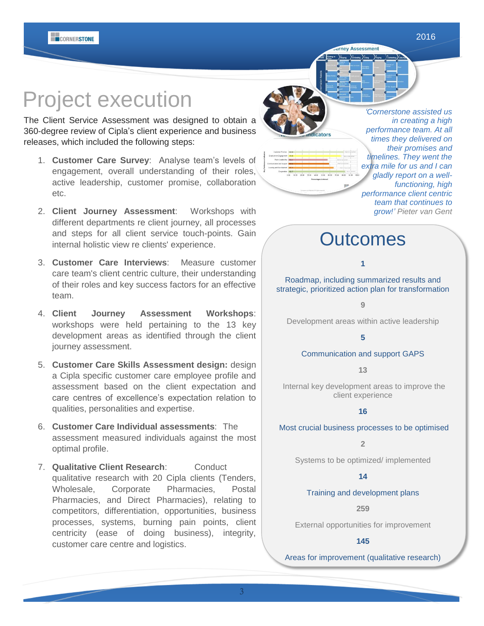## Project execution

The Client Service Assessment was designed to obtain a 360-degree review of Cipla's client experience and business releases, which included the following steps:

- 1. **Customer Care Survey**: Analyse team's levels of engagement, overall understanding of their roles, active leadership, customer promise, collaboration etc.
- 2. **Client Journey Assessment**: Workshops with different departments re client journey, all processes and steps for all client service touch-points. Gain internal holistic view re clients' experience.
- 3. **Customer Care Interviews**: Measure customer care team's client centric culture, their understanding of their roles and key success factors for an effective team.
- 4. **Client Journey Assessment Workshops**: workshops were held pertaining to the 13 key development areas as identified through the client journey assessment.
- 5. **Customer Care Skills Assessment design:** design a Cipla specific customer care employee profile and assessment based on the client expectation and care centres of excellence's expectation relation to qualities, personalities and expertise.
- 6. **Customer Care Individual assessments**: The assessment measured individuals against the most optimal profile.
- 7. **Qualitative Client Research**: Conduct qualitative research with 20 Cipla clients (Tenders, Wholesale, Corporate Pharmacies, Postal Pharmacies, and Direct Pharmacies), relating to competitors, differentiation, opportunities, business processes, systems, burning pain points, client centricity (ease of doing business), integrity, customer care centre and logistics.



*'Cornerstone assisted us in creating a high performance team. At all times they delivered on their promises and timelines. They went the extra mile for us and I can gladly report on a wellfunctioning, high performance client centric team that continues to grow!' Pieter van Gent*

### **Outcomes**

urney Assessment

#### **1**

Roadmap, including summarized results and strategic, prioritized action plan for transformation

#### **9**

Development areas within active leadership

#### **5**

#### Communication and support GAPS

**13**

Internal key development areas to improve the client experience

#### **16**

Most crucial business processes to be optimised

**2**

Systems to be optimized/ implemented

#### **14**

#### Training and development plans

**259**

External opportunities for improvement

#### **145**

Areas for improvement (qualitative research)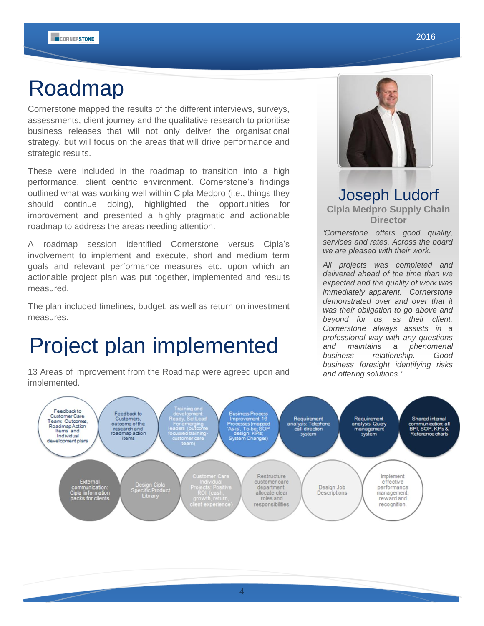## Roadmap

Cornerstone mapped the results of the different interviews, surveys, assessments, client journey and the qualitative research to prioritise business releases that will not only deliver the organisational strategy, but will focus on the areas that will drive performance and strategic results.

These were included in the roadmap to transition into a high performance, client centric environment. Cornerstone's findings outlined what was working well within Cipla Medpro (i.e., things they should continue doing), highlighted the opportunities for improvement and presented a highly pragmatic and actionable roadmap to address the areas needing attention.

A roadmap session identified Cornerstone versus Cipla's involvement to implement and execute, short and medium term goals and relevant performance measures etc. upon which an actionable project plan was put together, implemented and results measured.

The plan included timelines, budget, as well as return on investment measures.

## Project plan implemented

13 Areas of improvement from the Roadmap were agreed upon and implemented.



### Joseph Ludorf **Cipla Medpro Supply Chain Director**

*'Cornerstone offers good quality, services and rates. Across the board we are pleased with their work.* 

*All projects was completed and delivered ahead of the time than we expected and the quality of work was immediately apparent. Cornerstone demonstrated over and over that it was their obligation to go above and beyond for us, as their client. Cornerstone always assists in a professional way with any questions and maintains a phenomenal business relationship. Good business foresight identifying risks and offering solutions.'*

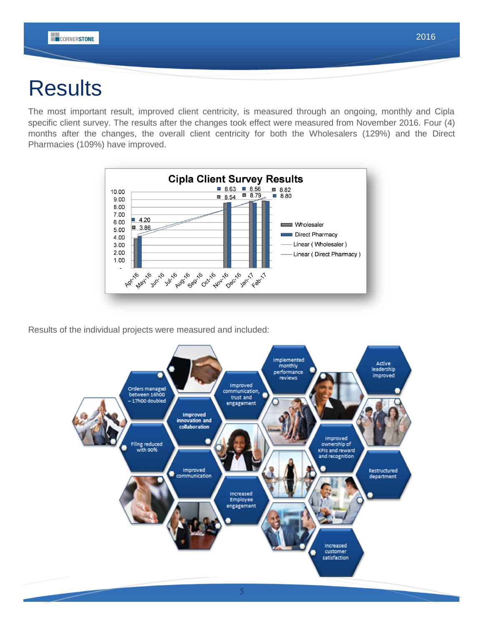## **Results**

The most important result, improved client centricity, is measured through an ongoing, monthly and Cipla specific client survey. The results after the changes took effect were measured from November 2016. Four (4) months after the changes, the overall client centricity for both the Wholesalers (129%) and the Direct Pharmacies (109%) have improved.



Results of the individual projects were measured and included: